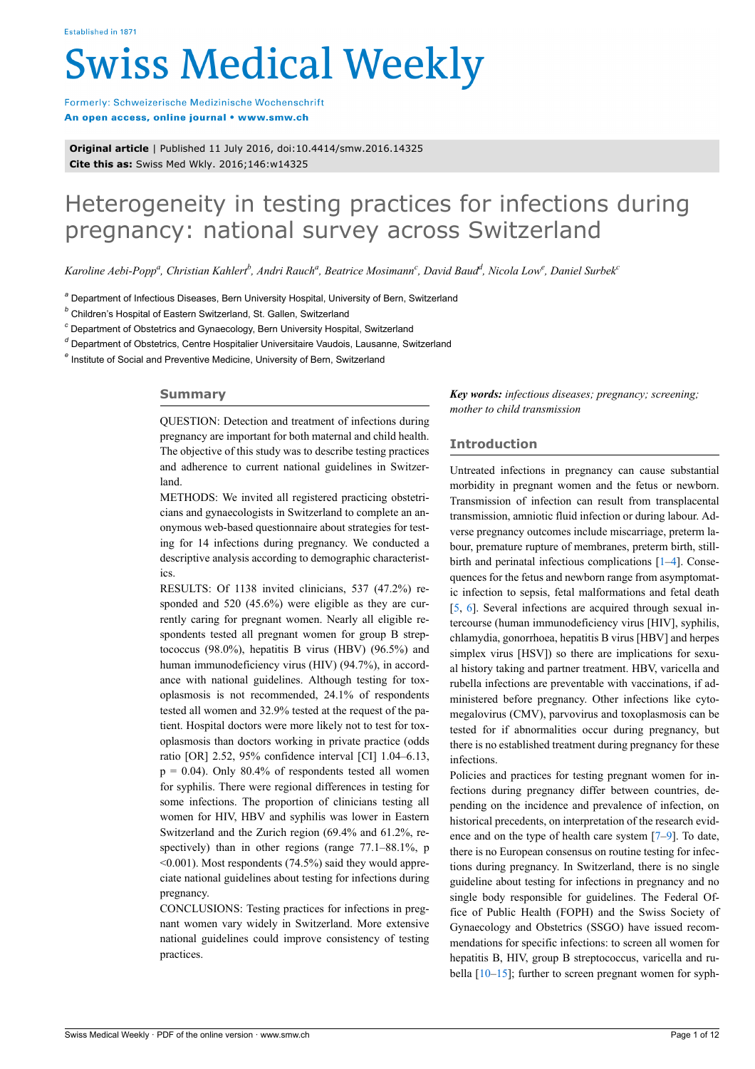# **Swiss Medical Weekly**

Formerly: Schweizerische Medizinische Wochenschrift An open access, online journal • www.smw.ch

**Original article** | Published 11 July 2016, doi:10.4414/smw.2016.14325 **Cite this as:** Swiss Med Wkly. 2016;146:w14325

# Heterogeneity in testing practices for infections during pregnancy: national survey across Switzerland

*Karoline Aebi-Popp<sup>a</sup> , Christian Kahlert<sup>b</sup> , Andri Rauch<sup>a</sup> , Beatrice Mosimann<sup>c</sup> , David Baud<sup>d</sup> , Nicola Low<sup>e</sup> , Daniel Surbek<sup>c</sup>*

*a* Department of Infectious Diseases, Bern University Hospital, University of Bern, Switzerland

*b* Children's Hospital of Eastern Switzerland, St. Gallen, Switzerland

*c* Department of Obstetrics and Gynaecology, Bern University Hospital, Switzerland

*d* Department of Obstetrics, Centre Hospitalier Universitaire Vaudois, Lausanne, Switzerland

*e* Institute of Social and Preventive Medicine, University of Bern, Switzerland

# **Summary**

QUESTION: Detection and treatment of infections during pregnancy are important for both maternal and child health. The objective of this study was to describe testing practices and adherence to current national guidelines in Switzerland.

METHODS: We invited all registered practicing obstetricians and gynaecologists in Switzerland to complete an anonymous web-based questionnaire about strategies for testing for 14 infections during pregnancy. We conducted a descriptive analysis according to demographic characteristics.

RESULTS: Of 1138 invited clinicians, 537 (47.2%) responded and 520 (45.6%) were eligible as they are currently caring for pregnant women. Nearly all eligible respondents tested all pregnant women for group B streptococcus (98.0%), hepatitis B virus (HBV) (96.5%) and human immunodeficiency virus (HIV) (94.7%), in accordance with national guidelines. Although testing for toxoplasmosis is not recommended, 24.1% of respondents tested all women and 32.9% tested at the request of the patient. Hospital doctors were more likely not to test for toxoplasmosis than doctors working in private practice (odds ratio [OR] 2.52, 95% confidence interval [CI] 1.04–6.13,  $p = 0.04$ ). Only 80.4% of respondents tested all women for syphilis. There were regional differences in testing for some infections. The proportion of clinicians testing all women for HIV, HBV and syphilis was lower in Eastern Switzerland and the Zurich region (69.4% and 61.2%, respectively) than in other regions (range  $77.1-88.1\%$ , p  $\leq 0.001$ ). Most respondents (74.5%) said they would appreciate national guidelines about testing for infections during pregnancy.

CONCLUSIONS: Testing practices for infections in pregnant women vary widely in Switzerland. More extensive national guidelines could improve consistency of testing practices.

*Key words: infectious diseases; pregnancy; screening; mother to child transmission*

# **Introduction**

Untreated infections in pregnancy can cause substantial morbidity in pregnant women and the fetus or newborn. Transmission of infection can result from transplacental transmission, amniotic fluid infection or during labour. Adverse pregnancy outcomes include miscarriage, preterm labour, premature rupture of membranes, preterm birth, stillbirth and perinatal infectious complications [[1](#page-5-0)–[4](#page-5-1)]. Consequences for the fetus and newborn range from asymptomatic infection to sepsis, fetal malformations and fetal death [[5](#page-5-2), [6](#page-5-3)]. Several infections are acquired through sexual intercourse (human immunodeficiency virus [HIV], syphilis, chlamydia, gonorrhoea, hepatitis B virus [HBV] and herpes simplex virus [HSV]) so there are implications for sexual history taking and partner treatment. HBV, varicella and rubella infections are preventable with vaccinations, if administered before pregnancy. Other infections like cytomegalovirus (CMV), parvovirus and toxoplasmosis can be tested for if abnormalities occur during pregnancy, but there is no established treatment during pregnancy for these infections.

Policies and practices for testing pregnant women for infections during pregnancy differ between countries, depending on the incidence and prevalence of infection, on historical precedents, on interpretation of the research evidence and on the type of health care system [\[7–](#page-5-4)[9\]](#page-5-5). To date, there is no European consensus on routine testing for infections during pregnancy. In Switzerland, there is no single guideline about testing for infections in pregnancy and no single body responsible for guidelines. The Federal Office of Public Health (FOPH) and the Swiss Society of Gynaecology and Obstetrics (SSGO) have issued recommendations for specific infections: to screen all women for hepatitis B, HIV, group B streptococcus, varicella and rubella [[10–](#page-5-6)[15](#page-5-7)]; further to screen pregnant women for syph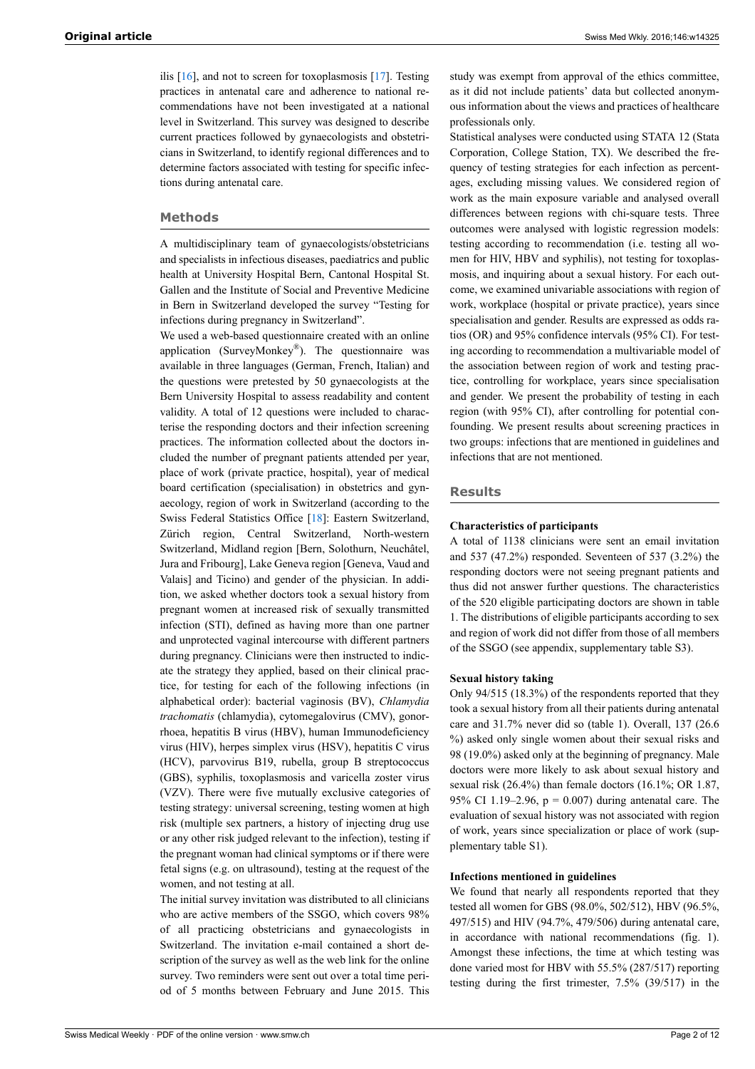ilis [[16\]](#page-5-8), and not to screen for toxoplasmosis [\[17](#page-5-9)]. Testing practices in antenatal care and adherence to national recommendations have not been investigated at a national level in Switzerland. This survey was designed to describe current practices followed by gynaecologists and obstetricians in Switzerland, to identify regional differences and to determine factors associated with testing for specific infections during antenatal care.

# **Methods**

A multidisciplinary team of gynaecologists/obstetricians and specialists in infectious diseases, paediatrics and public health at University Hospital Bern, Cantonal Hospital St. Gallen and the Institute of Social and Preventive Medicine in Bern in Switzerland developed the survey "Testing for infections during pregnancy in Switzerland".

We used a web-based questionnaire created with an online application (SurveyMonkey<sup>®</sup>). The questionnaire was available in three languages (German, French, Italian) and the questions were pretested by 50 gynaecologists at the Bern University Hospital to assess readability and content validity. A total of 12 questions were included to characterise the responding doctors and their infection screening practices. The information collected about the doctors included the number of pregnant patients attended per year, place of work (private practice, hospital), year of medical board certification (specialisation) in obstetrics and gynaecology, region of work in Switzerland (according to the Swiss Federal Statistics Office [\[18](#page-5-10)]: Eastern Switzerland, Zürich region, Central Switzerland, North-western Switzerland, Midland region [Bern, Solothurn, Neuchâtel, Jura and Fribourg], Lake Geneva region [Geneva, Vaud and Valais] and Ticino) and gender of the physician. In addition, we asked whether doctors took a sexual history from pregnant women at increased risk of sexually transmitted infection (STI), defined as having more than one partner and unprotected vaginal intercourse with different partners during pregnancy. Clinicians were then instructed to indicate the strategy they applied, based on their clinical practice, for testing for each of the following infections (in alphabetical order): bacterial vaginosis (BV), *Chlamydia trachomatis* (chlamydia), cytomegalovirus (CMV), gonorrhoea, hepatitis B virus (HBV), human Immunodeficiency virus (HIV), herpes simplex virus (HSV), hepatitis C virus (HCV), parvovirus B19, rubella, group B streptococcus (GBS), syphilis, toxoplasmosis and varicella zoster virus (VZV). There were five mutually exclusive categories of testing strategy: universal screening, testing women at high risk (multiple sex partners, a history of injecting drug use or any other risk judged relevant to the infection), testing if the pregnant woman had clinical symptoms or if there were fetal signs (e.g. on ultrasound), testing at the request of the women, and not testing at all.

The initial survey invitation was distributed to all clinicians who are active members of the SSGO, which covers 98% of all practicing obstetricians and gynaecologists in Switzerland. The invitation e-mail contained a short description of the survey as well as the web link for the online survey. Two reminders were sent out over a total time period of 5 months between February and June 2015. This

study was exempt from approval of the ethics committee, as it did not include patients' data but collected anonymous information about the views and practices of healthcare professionals only.

Statistical analyses were conducted using STATA 12 (Stata Corporation, College Station, TX). We described the frequency of testing strategies for each infection as percentages, excluding missing values. We considered region of work as the main exposure variable and analysed overall differences between regions with chi-square tests. Three outcomes were analysed with logistic regression models: testing according to recommendation (i.e. testing all women for HIV, HBV and syphilis), not testing for toxoplasmosis, and inquiring about a sexual history. For each outcome, we examined univariable associations with region of work, workplace (hospital or private practice), years since specialisation and gender. Results are expressed as odds ratios (OR) and 95% confidence intervals (95% CI). For testing according to recommendation a multivariable model of the association between region of work and testing practice, controlling for workplace, years since specialisation and gender. We present the probability of testing in each region (with 95% CI), after controlling for potential confounding. We present results about screening practices in two groups: infections that are mentioned in guidelines and infections that are not mentioned.

# **Results**

#### **Characteristics of participants**

A total of 1138 clinicians were sent an email invitation and 537 (47.2%) responded. Seventeen of 537 (3.2%) the responding doctors were not seeing pregnant patients and thus did not answer further questions. The characteristics of the 520 eligible participating doctors are shown in table 1. The distributions of eligible participants according to sex and region of work did not differ from those of all members of the SSGO (see appendix, supplementary table S3).

#### **Sexual history taking**

Only 94/515 (18.3%) of the respondents reported that they took a sexual history from all their patients during antenatal care and 31.7% never did so (table 1). Overall, 137 (26.6 %) asked only single women about their sexual risks and 98 (19.0%) asked only at the beginning of pregnancy. Male doctors were more likely to ask about sexual history and sexual risk (26.4%) than female doctors (16.1%; OR 1.87, 95% CI 1.19–2.96,  $p = 0.007$ ) during antenatal care. The evaluation of sexual history was not associated with region of work, years since specialization or place of work (supplementary table S1).

#### **Infections mentioned in guidelines**

We found that nearly all respondents reported that they tested all women for GBS (98.0%, 502/512), HBV (96.5%, 497/515) and HIV (94.7%, 479/506) during antenatal care, in accordance with national recommendations (fig. 1). Amongst these infections, the time at which testing was done varied most for HBV with 55.5% (287/517) reporting testing during the first trimester, 7.5% (39/517) in the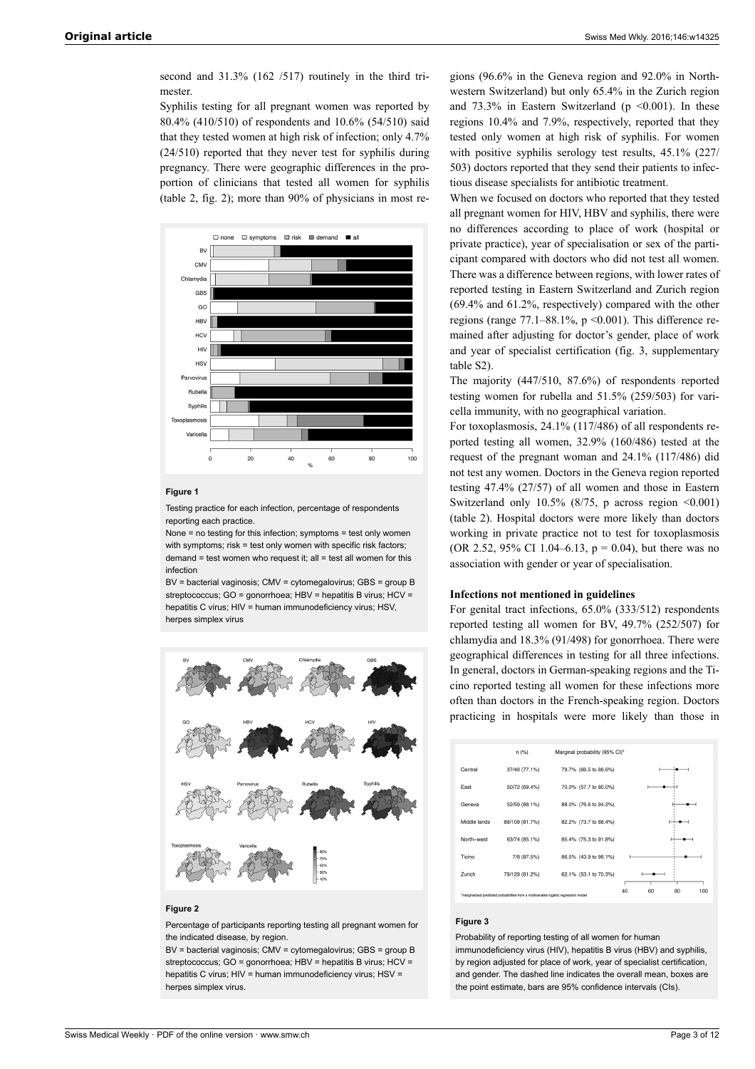second and 31.3% (162 /517) routinely in the third trimester

Syphilis testing for all pregnant women was reported by 80.4% (410/510) of respondents and 10.6% (54/510) said that they tested women at high risk of infection; only 4.7% (24/510) reported that they never test for syphilis during pregnancy. There were geographic differences in the proportion of clinicians that tested all women for syphilis (table 2, fig. 2); more than 90% of physicians in most re-



#### **Figure 1**

Testing practice for each infection, percentage of respondents reporting each practice.

None = no testing for this infection; symptoms = test only women with symptoms; risk = test only women with specific risk factors;  $d$  demand = test women who request it; all = test all women for this infection

BV = bacterial vaginosis; CMV = cytomegalovirus; GBS = group B streptococcus; GO = gonorrhoea; HBV = hepatitis B virus; HCV = hepatitis C virus; HIV = human immunodeficiency virus; HSV herpes simplex virus



#### **Figure 2**

Percentage of participants reporting testing all pregnant women for the indicated disease, by region.

BV = bacterial vaginosis; CMV = cytomegalovirus; GBS = group B streptococcus; GO = gonorrhoea; HBV = hepatitis B virus; HCV = hepatitis C virus; HIV = human immunodeficiency virus; HSV = herpes simplex virus.

gions (96.6% in the Geneva region and 92.0% in Northwestern Switzerland) but only 65.4% in the Zurich region and  $73.3\%$  in Eastern Switzerland (p < 0.001). In these regions 10.4% and 7.9%, respectively, reported that they tested only women at high risk of syphilis. For women with positive syphilis serology test results, 45.1% (227/ 503) doctors reported that they send their patients to infectious disease specialists for antibiotic treatment.

When we focused on doctors who reported that they tested all pregnant women for HIV, HBV and syphilis, there were no differences according to place of work (hospital or private practice), year of specialisation or sex of the participant compared with doctors who did not test all women. There was a difference between regions, with lower rates of reported testing in Eastern Switzerland and Zurich region (69.4% and 61.2%, respectively) compared with the other regions (range  $77.1-88.1\%$ , p < 0.001). This difference remained after adjusting for doctor's gender, place of work and year of specialist certification (fig. 3, supplementary table S2).

The majority (447/510, 87.6%) of respondents reported testing women for rubella and 51.5% (259/503) for varicella immunity, with no geographical variation.

For toxoplasmosis, 24.1% (117/486) of all respondents reported testing all women, 32.9% (160/486) tested at the request of the pregnant woman and 24.1% (117/486) did not test any women. Doctors in the Geneva region reported testing 47.4% (27/57) of all women and those in Eastern Switzerland only  $10.5\%$  (8/75, p across region <0.001) (table 2). Hospital doctors were more likely than doctors working in private practice not to test for toxoplasmosis (OR 2.52, 95% CI 1.04–6.13,  $p = 0.04$ ), but there was no association with gender or year of specialisation.

#### **Infections not mentioned in guidelines**

For genital tract infections, 65.0% (333/512) respondents reported testing all women for BV, 49.7% (252/507) for chlamydia and 18.3% (91/498) for gonorrhoea. There were geographical differences in testing for all three infections. In general, doctors in German-speaking regions and the Ticino reported testing all women for these infections more often than doctors in the French-speaking region. Doctors practicing in hospitals were more likely than those in

|              | n(%)                                                                                 | Marginal probability (95% CI)* |                       |
|--------------|--------------------------------------------------------------------------------------|--------------------------------|-----------------------|
| Central      | 37/48 (77.1%)                                                                        | 79.7% (66.5 to 88.6%)          |                       |
| East         | 50/72 (69.4%)                                                                        | 70.0% (57.7 to 80.0%)          |                       |
| Geneva       | 52/59 (88.1%)                                                                        | 88.0% (76.6 to 94.2%)          |                       |
| Middle lands | 89/109 (81.7%)                                                                       | 82.2% (73.7 to 88.4%)          |                       |
| North-west   | 63/74 (85.1%)                                                                        | 85.4% (75.3 to 91.8%)          |                       |
| Ticino       | 7/8 (87.5%)                                                                          | 86.5% (43.9 to 98.1%)          |                       |
| Zurich       | 79/129 (61.2%)                                                                       | 62.1% (53.1 to 70.3%)          |                       |
|              | "marginalized predicted probabilities from a multivariable logistic regression model |                                | 80<br>40<br>60<br>100 |

#### **Figure 3**

Probability of reporting testing of all women for human immunodeficiency virus (HIV), hepatitis B virus (HBV) and syphilis, by region adjusted for place of work, year of specialist certification, and gender. The dashed line indicates the overall mean, boxes are the point estimate, bars are 95% confidence intervals (CIs).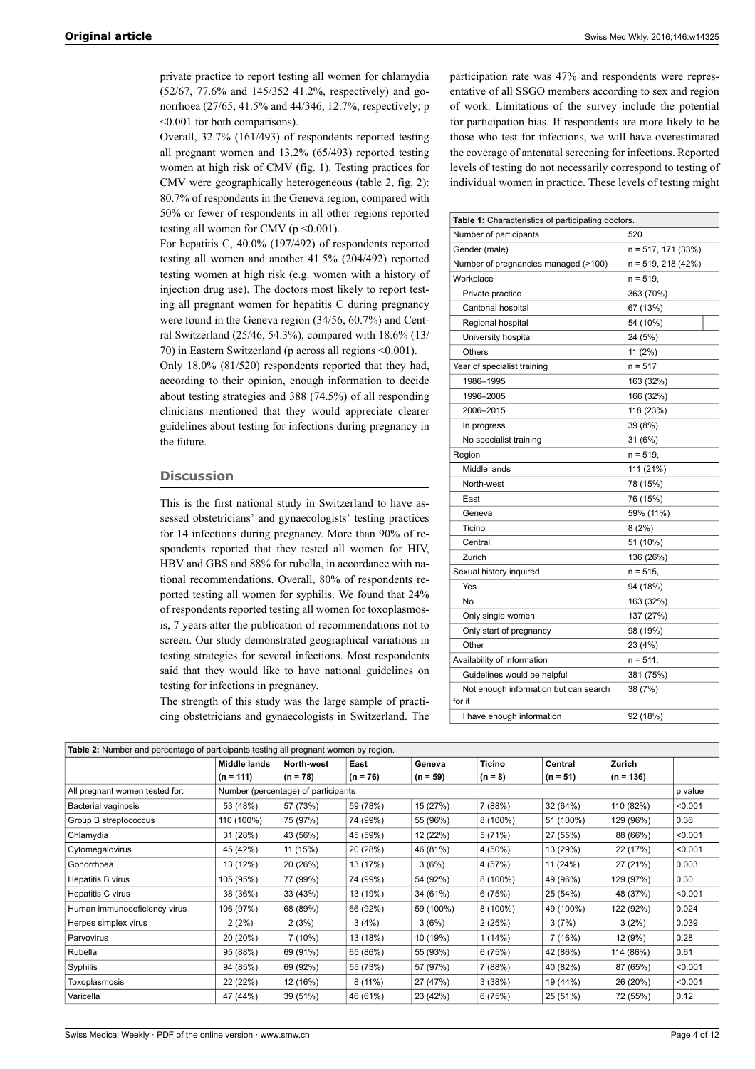private practice to report testing all women for chlamydia (52/67, 77.6% and 145/352 41.2%, respectively) and gonorrhoea (27/65, 41.5% and 44/346, 12.7%, respectively; p <0.001 for both comparisons).

Overall, 32.7% (161/493) of respondents reported testing all pregnant women and 13.2% (65/493) reported testing women at high risk of CMV (fig. 1). Testing practices for CMV were geographically heterogeneous (table 2, fig. 2): 80.7% of respondents in the Geneva region, compared with 50% or fewer of respondents in all other regions reported testing all women for CMV ( $p \le 0.001$ ).

For hepatitis C, 40.0% (197/492) of respondents reported testing all women and another 41.5% (204/492) reported testing women at high risk (e.g. women with a history of injection drug use). The doctors most likely to report testing all pregnant women for hepatitis C during pregnancy were found in the Geneva region (34/56, 60.7%) and Central Switzerland (25/46, 54.3%), compared with 18.6% (13/ 70) in Eastern Switzerland (p across all regions <0.001).

Only 18.0% (81/520) respondents reported that they had, according to their opinion, enough information to decide about testing strategies and 388 (74.5%) of all responding clinicians mentioned that they would appreciate clearer guidelines about testing for infections during pregnancy in the future.

#### **Discussion**

This is the first national study in Switzerland to have assessed obstetricians' and gynaecologists' testing practices for 14 infections during pregnancy. More than 90% of respondents reported that they tested all women for HIV, HBV and GBS and 88% for rubella, in accordance with national recommendations. Overall, 80% of respondents reported testing all women for syphilis. We found that 24% of respondents reported testing all women for toxoplasmosis, 7 years after the publication of recommendations not to screen. Our study demonstrated geographical variations in testing strategies for several infections. Most respondents said that they would like to have national guidelines on testing for infections in pregnancy.

The strength of this study was the large sample of practicing obstetricians and gynaecologists in Switzerland. The participation rate was 47% and respondents were representative of all SSGO members according to sex and region of work. Limitations of the survey include the potential for participation bias. If respondents are more likely to be those who test for infections, we will have overestimated the coverage of antenatal screening for infections. Reported levels of testing do not necessarily correspond to testing of individual women in practice. These levels of testing might

| <b>Table 1:</b> Characteristics of participating doctors. |                      |  |  |  |  |
|-----------------------------------------------------------|----------------------|--|--|--|--|
| Number of participants                                    | 520                  |  |  |  |  |
| Gender (male)                                             | $n = 517, 171 (33%)$ |  |  |  |  |
| Number of pregnancies managed (>100)                      | $n = 519, 218 (42%)$ |  |  |  |  |
| Workplace                                                 | $n = 519$ ,          |  |  |  |  |
| Private practice                                          | 363 (70%)            |  |  |  |  |
| Cantonal hospital                                         | 67 (13%)             |  |  |  |  |
| Regional hospital                                         | 54 (10%)             |  |  |  |  |
| University hospital                                       | 24 (5%)              |  |  |  |  |
| Others                                                    | 11 $(2%)$            |  |  |  |  |
| Year of specialist training                               | $n = 517$            |  |  |  |  |
| 1986-1995                                                 | 163 (32%)            |  |  |  |  |
| 1996-2005                                                 | 166 (32%)            |  |  |  |  |
| 2006-2015                                                 | 118 (23%)            |  |  |  |  |
| In progress                                               | 39 (8%)              |  |  |  |  |
| No specialist training                                    | 31 (6%)              |  |  |  |  |
| Region                                                    | $n = 519$            |  |  |  |  |
| Middle lands                                              | 111 (21%)            |  |  |  |  |
| North-west                                                | 78 (15%)             |  |  |  |  |
| East                                                      | 76 (15%)             |  |  |  |  |
| Geneva                                                    | 59% (11%)            |  |  |  |  |
| Ticino                                                    | 8(2%)                |  |  |  |  |
| Central                                                   | 51 (10%)             |  |  |  |  |
| Zurich                                                    | 136 (26%)            |  |  |  |  |
| Sexual history inquired                                   | $n = 515$            |  |  |  |  |
| Yes                                                       | 94 (18%)             |  |  |  |  |
| No                                                        | 163 (32%)            |  |  |  |  |
| Only single women                                         | 137 (27%)            |  |  |  |  |
| Only start of pregnancy                                   | 98 (19%)             |  |  |  |  |
| Other                                                     | 23 (4%)              |  |  |  |  |
| Availability of information                               | $n = 511$            |  |  |  |  |
| Guidelines would be helpful                               | 381 (75%)            |  |  |  |  |
| Not enough information but can search                     | 38 (7%)              |  |  |  |  |
| for it                                                    |                      |  |  |  |  |
| I have enough information                                 | 92 (18%)             |  |  |  |  |

| Table 2: Number and percentage of participants testing all pregnant women by region. |              |                                     |            |            |               |            |             |         |
|--------------------------------------------------------------------------------------|--------------|-------------------------------------|------------|------------|---------------|------------|-------------|---------|
|                                                                                      | Middle lands | North-west                          | East       | Geneva     | <b>Ticino</b> | Central    | Zurich      |         |
|                                                                                      | $(n = 111)$  | $(n = 78)$                          | $(n = 76)$ | $(n = 59)$ | $(n = 8)$     | $(n = 51)$ | $(n = 136)$ |         |
| All pregnant women tested for:                                                       |              | Number (percentage) of participants |            |            |               |            |             | p value |
| Bacterial vaginosis                                                                  | 53 (48%)     | 57 (73%)                            | 59 (78%)   | 15 (27%)   | 7 (88%)       | 32 (64%)   | 110 (82%)   | < 0.001 |
| Group B streptococcus                                                                | 110 (100%)   | 75 (97%)                            | 74 (99%)   | 55 (96%)   | $8(100\%)$    | 51 (100%)  | 129 (96%)   | 0.36    |
| Chlamydia                                                                            | 31 (28%)     | 43 (56%)                            | 45 (59%)   | 12 (22%)   | 5 (71%)       | 27 (55%)   | 88 (66%)    | < 0.001 |
| Cytomegalovirus                                                                      | 45 (42%)     | 11 (15%)                            | 20 (28%)   | 46 (81%)   | 4 (50%)       | 13 (29%)   | 22 (17%)    | < 0.001 |
| Gonorrhoea                                                                           | 13 (12%)     | 20 (26%)                            | 13 (17%)   | 3(6%)      | 4 (57%)       | 11 (24%)   | 27 (21%)    | 0.003   |
| Hepatitis B virus                                                                    | 105 (95%)    | 77 (99%)                            | 74 (99%)   | 54 (92%)   | 8 (100%)      | 49 (96%)   | 129 (97%)   | 0.30    |
| Hepatitis C virus                                                                    | 38 (36%)     | 33 (43%)                            | 13 (19%)   | 34 (61%)   | 6(75%)        | 25 (54%)   | 48 (37%)    | < 0.001 |
| Human immunodeficiency virus                                                         | 106 (97%)    | 68 (89%)                            | 66 (92%)   | 59 (100%)  | $8(100\%)$    | 49 (100%)  | 122 (92%)   | 0.024   |
| Herpes simplex virus                                                                 | 2(2%)        | 2(3%)                               | 3(4%)      | 3(6%)      | 2(25%)        | 3(7%)      | $3(2\%)$    | 0.039   |
| Parvovirus                                                                           | 20 (20%)     | 7(10%)                              | 13 (18%)   | 10 (19%)   | 1(14%)        | 7(16%)     | 12 (9%)     | 0.28    |
| Rubella                                                                              | 95 (88%)     | 69 (91%)                            | 65 (86%)   | 55 (93%)   | 6(75%)        | 42 (86%)   | 114 (86%)   | 0.61    |
| Syphilis                                                                             | 94 (85%)     | 69 (92%)                            | 55 (73%)   | 57 (97%)   | 7 (88%)       | 40 (82%)   | 87 (65%)    | < 0.001 |
| Toxoplasmosis                                                                        | 22 (22%)     | 12 (16%)                            | $8(11\%)$  | 27 (47%)   | 3(38%)        | 19 (44%)   | 26 (20%)    | < 0.001 |
| Varicella                                                                            | 47 (44%)     | 39 (51%)                            | 46 (61%)   | 23 (42%)   | 6(75%)        | 25 (51%)   | 72 (55%)    | 0.12    |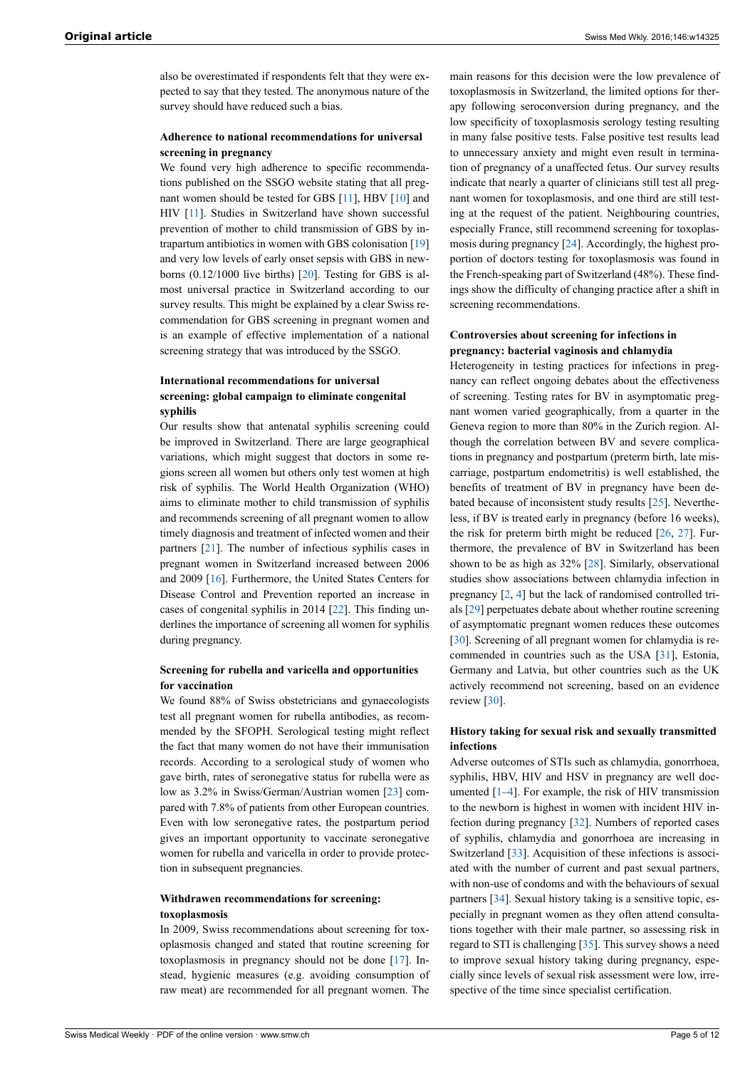also be overestimated if respondents felt that they were expected to say that they tested. The anonymous nature of the survey should have reduced such a bias.

# **Adherence to national recommendations for universal screening in pregnancy**

We found very high adherence to specific recommendations published on the SSGO website stating that all pregnant women should be tested for GBS [[11\]](#page-5-11), HBV [[10\]](#page-5-6) and HIV [[11](#page-5-11)]. Studies in Switzerland have shown successful prevention of mother to child transmission of GBS by intrapartum antibiotics in women with GBS colonisation [\[19](#page-6-0)] and very low levels of early onset sepsis with GBS in newborns (0.12/1000 live births) [\[20](#page-6-1)]. Testing for GBS is almost universal practice in Switzerland according to our survey results. This might be explained by a clear Swiss recommendation for GBS screening in pregnant women and is an example of effective implementation of a national screening strategy that was introduced by the SSGO.

# **International recommendations for universal screening: global campaign to eliminate congenital syphilis**

Our results show that antenatal syphilis screening could be improved in Switzerland. There are large geographical variations, which might suggest that doctors in some regions screen all women but others only test women at high risk of syphilis. The World Health Organization (WHO) aims to eliminate mother to child transmission of syphilis and recommends screening of all pregnant women to allow timely diagnosis and treatment of infected women and their partners [\[21](#page-6-2)]. The number of infectious syphilis cases in pregnant women in Switzerland increased between 2006 and 2009 [\[16](#page-5-8)]. Furthermore, the United States Centers for Disease Control and Prevention reported an increase in cases of congenital syphilis in 2014 [\[22](#page-6-3)]. This finding underlines the importance of screening all women for syphilis during pregnancy.

# **Screening for rubella and varicella and opportunities for vaccination**

We found 88% of Swiss obstetricians and gynaecologists test all pregnant women for rubella antibodies, as recommended by the SFOPH. Serological testing might reflect the fact that many women do not have their immunisation records. According to a serological study of women who gave birth, rates of seronegative status for rubella were as low as 3.2% in Swiss/German/Austrian women [\[23](#page-6-4)] compared with 7.8% of patients from other European countries. Even with low seronegative rates, the postpartum period gives an important opportunity to vaccinate seronegative women for rubella and varicella in order to provide protection in subsequent pregnancies.

# **Withdrawen recommendations for screening: toxoplasmosis**

In 2009, Swiss recommendations about screening for toxoplasmosis changed and stated that routine screening for toxoplasmosis in pregnancy should not be done [\[17](#page-5-9)]. Instead, hygienic measures (e.g. avoiding consumption of raw meat) are recommended for all pregnant women. The

main reasons for this decision were the low prevalence of toxoplasmosis in Switzerland, the limited options for therapy following seroconversion during pregnancy, and the low specificity of toxoplasmosis serology testing resulting in many false positive tests. False positive test results lead to unnecessary anxiety and might even result in termination of pregnancy of a unaffected fetus. Our survey results indicate that nearly a quarter of clinicians still test all pregnant women for toxoplasmosis, and one third are still testing at the request of the patient. Neighbouring countries, especially France, still recommend screening for toxoplasmosis during pregnancy [[24\]](#page-6-5). Accordingly, the highest proportion of doctors testing for toxoplasmosis was found in the French-speaking part of Switzerland (48%). These findings show the difficulty of changing practice after a shift in screening recommendations.

# **Controversies about screening for infections in pregnancy: bacterial vaginosis and chlamydia**

Heterogeneity in testing practices for infections in pregnancy can reflect ongoing debates about the effectiveness of screening. Testing rates for BV in asymptomatic pregnant women varied geographically, from a quarter in the Geneva region to more than 80% in the Zurich region. Although the correlation between BV and severe complications in pregnancy and postpartum (preterm birth, late miscarriage, postpartum endometritis) is well established, the benefits of treatment of BV in pregnancy have been debated because of inconsistent study results [\[25](#page-6-6)]. Nevertheless, if BV is treated early in pregnancy (before 16 weeks), the risk for preterm birth might be reduced  $[26, 27]$  $[26, 27]$  $[26, 27]$  $[26, 27]$  $[26, 27]$ . Furthermore, the prevalence of BV in Switzerland has been shown to be as high as 32% [\[28](#page-6-9)]. Similarly, observational studies show associations between chlamydia infection in pregnancy [[2](#page-5-12), [4](#page-5-1)] but the lack of randomised controlled trials [[29\]](#page-6-10) perpetuates debate about whether routine screening of asymptomatic pregnant women reduces these outcomes [[30\]](#page-6-11). Screening of all pregnant women for chlamydia is recommended in countries such as the USA [[31\]](#page-6-12), Estonia, Germany and Latvia, but other countries such as the UK actively recommend not screening, based on an evidence review [\[30](#page-6-11)].

# **History taking for sexual risk and sexually transmitted infections**

Adverse outcomes of STIs such as chlamydia, gonorrhoea, syphilis, HBV, HIV and HSV in pregnancy are well documented  $[1-4]$  $[1-4]$ . For example, the risk of HIV transmission to the newborn is highest in women with incident HIV infection during pregnancy [[32\]](#page-6-13). Numbers of reported cases of syphilis, chlamydia and gonorrhoea are increasing in Switzerland [\[33](#page-6-14)]. Acquisition of these infections is associated with the number of current and past sexual partners, with non-use of condoms and with the behaviours of sexual partners [[34\]](#page-6-15). Sexual history taking is a sensitive topic, especially in pregnant women as they often attend consultations together with their male partner, so assessing risk in regard to STI is challenging [\[35](#page-6-16)]. This survey shows a need to improve sexual history taking during pregnancy, especially since levels of sexual risk assessment were low, irrespective of the time since specialist certification.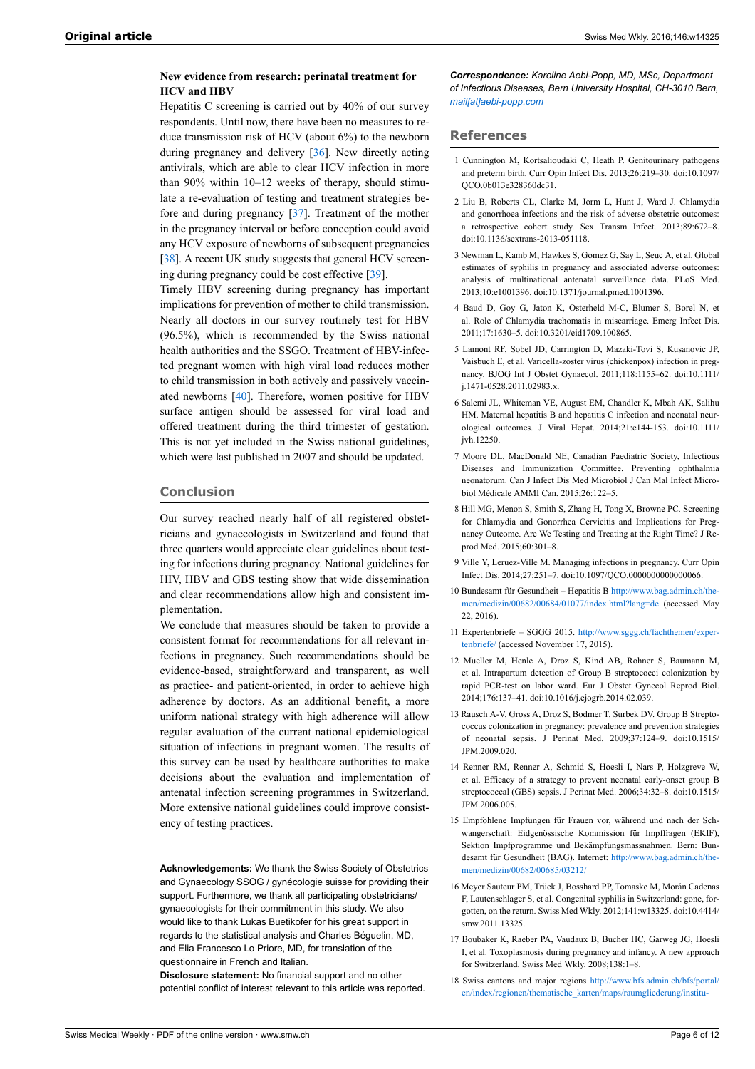# **New evidence from research: perinatal treatment for HCV and HBV**

<span id="page-5-0"></span>Hepatitis C screening is carried out by 40% of our survey respondents. Until now, there have been no measures to reduce transmission risk of HCV (about 6%) to the newborn during pregnancy and delivery [[36\]](#page-6-17). New directly acting antivirals, which are able to clear HCV infection in more than 90% within 10–12 weeks of therapy, should stimulate a re-evaluation of testing and treatment strategies before and during pregnancy [\[37](#page-6-7)]. Treatment of the mother in the pregnancy interval or before conception could avoid any HCV exposure of newborns of subsequent pregnancies [\[38](#page-6-18)]. A recent UK study suggests that general HCV screening during pregnancy could be cost effective [[39\]](#page-6-19).

<span id="page-5-12"></span><span id="page-5-2"></span><span id="page-5-1"></span>Timely HBV screening during pregnancy has important implications for prevention of mother to child transmission. Nearly all doctors in our survey routinely test for HBV (96.5%), which is recommended by the Swiss national health authorities and the SSGO. Treatment of HBV-infected pregnant women with high viral load reduces mother to child transmission in both actively and passively vaccinated newborns [[40\]](#page-6-20). Therefore, women positive for HBV surface antigen should be assessed for viral load and offered treatment during the third trimester of gestation. This is not yet included in the Swiss national guidelines, which were last published in 2007 and should be updated.

# <span id="page-5-4"></span><span id="page-5-3"></span>**Conclusion**

<span id="page-5-5"></span>Our survey reached nearly half of all registered obstetricians and gynaecologists in Switzerland and found that three quarters would appreciate clear guidelines about testing for infections during pregnancy. National guidelines for HIV, HBV and GBS testing show that wide dissemination and clear recommendations allow high and consistent implementation.

<span id="page-5-11"></span><span id="page-5-6"></span>We conclude that measures should be taken to provide a consistent format for recommendations for all relevant infections in pregnancy. Such recommendations should be evidence-based, straightforward and transparent, as well as practice- and patient-oriented, in order to achieve high adherence by doctors. As an additional benefit, a more uniform national strategy with high adherence will allow regular evaluation of the current national epidemiological situation of infections in pregnant women. The results of this survey can be used by healthcare authorities to make decisions about the evaluation and implementation of antenatal infection screening programmes in Switzerland. More extensive national guidelines could improve consistency of testing practices.

<span id="page-5-8"></span><span id="page-5-7"></span>**Acknowledgements:** We thank the Swiss Society of Obstetrics and Gynaecology SSOG / gynécologie suisse for providing their support. Furthermore, we thank all participating obstetricians/ gynaecologists for their commitment in this study. We also would like to thank Lukas Buetikofer for his great support in regards to the statistical analysis and Charles Béguelin, MD, and Elia Francesco Lo Priore, MD, for translation of the questionnaire in French and Italian.

<span id="page-5-10"></span><span id="page-5-9"></span>**Disclosure statement:** No financial support and no other potential conflict of interest relevant to this article was reported.

*Correspondence: Karoline Aebi-Popp, MD, MSc, Department of Infectious Diseases, Bern University Hospital, CH-3010 Bern, [mail\[at\]aebi-popp.com](mailto:mail@aebi-popp.com)*

## **References**

- 1 Cunnington M, Kortsalioudaki C, Heath P. Genitourinary pathogens and preterm birth. Curr Opin Infect Dis. 2013;26:219–30. doi:10.1097/ QCO.0b013e328360dc31.
- 2 Liu B, Roberts CL, Clarke M, Jorm L, Hunt J, Ward J. Chlamydia and gonorrhoea infections and the risk of adverse obstetric outcomes: a retrospective cohort study. Sex Transm Infect. 2013;89:672–8. doi:10.1136/sextrans-2013-051118.
- 3 Newman L, Kamb M, Hawkes S, Gomez G, Say L, Seuc A, et al. Global estimates of syphilis in pregnancy and associated adverse outcomes: analysis of multinational antenatal surveillance data. PLoS Med. 2013;10:e1001396. doi:10.1371/journal.pmed.1001396.
- 4 Baud D, Goy G, Jaton K, Osterheld M-C, Blumer S, Borel N, et al. Role of Chlamydia trachomatis in miscarriage. Emerg Infect Dis. 2011;17:1630–5. doi:10.3201/eid1709.100865.
- 5 Lamont RF, Sobel JD, Carrington D, Mazaki-Tovi S, Kusanovic JP, Vaisbuch E, et al. Varicella-zoster virus (chickenpox) infection in pregnancy. BJOG Int J Obstet Gynaecol. 2011;118:1155–62. doi:10.1111/ j.1471-0528.2011.02983.x.
- 6 Salemi JL, Whiteman VE, August EM, Chandler K, Mbah AK, Salihu HM. Maternal hepatitis B and hepatitis C infection and neonatal neurological outcomes. J Viral Hepat. 2014;21:e144-153. doi:10.1111/ jvh.12250.
- 7 Moore DL, MacDonald NE, Canadian Paediatric Society, Infectious Diseases and Immunization Committee. Preventing ophthalmia neonatorum. Can J Infect Dis Med Microbiol J Can Mal Infect Microbiol Médicale AMMI Can. 2015;26:122–5.
- 8 Hill MG, Menon S, Smith S, Zhang H, Tong X, Browne PC. Screening for Chlamydia and Gonorrhea Cervicitis and Implications for Pregnancy Outcome. Are We Testing and Treating at the Right Time? J Reprod Med. 2015;60:301–8.
- 9 Ville Y, Leruez-Ville M. Managing infections in pregnancy. Curr Opin Infect Dis. 2014;27:251–7. doi:10.1097/QCO.0000000000000066.
- 10 Bundesamt für Gesundheit Hepatitis B [http://www.bag.admin.ch/the](http://www.bag.admin.ch/themen/medizin/00682/00684/01077/index.html?lang=de)[men/medizin/00682/00684/01077/index.html?lang=de](http://www.bag.admin.ch/themen/medizin/00682/00684/01077/index.html?lang=de) (accessed May 22, 2016).
- 11 Expertenbriefe SGGG 2015. [http://www.sggg.ch/fachthemen/exper](http://www.sggg.ch/fachthemen/expertenbriefe/)[tenbriefe/](http://www.sggg.ch/fachthemen/expertenbriefe/) (accessed November 17, 2015).
- 12 Mueller M, Henle A, Droz S, Kind AB, Rohner S, Baumann M, et al. Intrapartum detection of Group B streptococci colonization by rapid PCR-test on labor ward. Eur J Obstet Gynecol Reprod Biol. 2014;176:137–41. doi:10.1016/j.ejogrb.2014.02.039.
- 13 Rausch A-V, Gross A, Droz S, Bodmer T, Surbek DV, Group B Streptococcus colonization in pregnancy: prevalence and prevention strategies of neonatal sepsis. J Perinat Med. 2009;37:124–9. doi:10.1515/ JPM.2009.020.
- 14 Renner RM, Renner A, Schmid S, Hoesli I, Nars P, Holzgreve W, et al. Efficacy of a strategy to prevent neonatal early-onset group B streptococcal (GBS) sepsis. J Perinat Med. 2006;34:32–8. doi:10.1515/ JPM.2006.005.
- 15 Empfohlene Impfungen für Frauen vor, während und nach der Schwangerschaft: Eidgenössische Kommission für Impffragen (EKIF), Sektion Impfprogramme und Bekämpfungsmassnahmen. Bern: Bundesamt für Gesundheit (BAG). Internet: [http://www.bag.admin.ch/the](http://www.bag.admin.ch/themen/medizin/00682/00685/03212/)[men/medizin/00682/00685/03212/](http://www.bag.admin.ch/themen/medizin/00682/00685/03212/)
- 16 Meyer Sauteur PM, Trück J, Bosshard PP, Tomaske M, Morán Cadenas F, Lautenschlager S, et al. Congenital syphilis in Switzerland: gone, forgotten, on the return. Swiss Med Wkly. 2012;141:w13325. doi:10.4414/ smw.2011.13325
- 17 Boubaker K, Raeber PA, Vaudaux B, Bucher HC, Garweg JG, Hoesli I, et al. Toxoplasmosis during pregnancy and infancy. A new approach for Switzerland. Swiss Med Wkly. 2008;138:1–8.
- 18 Swiss cantons and major regions [http://www.bfs.admin.ch/bfs/portal/](http://www.bfs.admin.ch/bfs/portal/en/index/regionen/thematische_karten/maps/raumgliederung/institutionelle_gliederungen.NewWindow.parsys.0002.1.Preview.html) [en/index/regionen/thematische\\_karten/maps/raumgliederung/institu-](http://www.bfs.admin.ch/bfs/portal/en/index/regionen/thematische_karten/maps/raumgliederung/institutionelle_gliederungen.NewWindow.parsys.0002.1.Preview.html)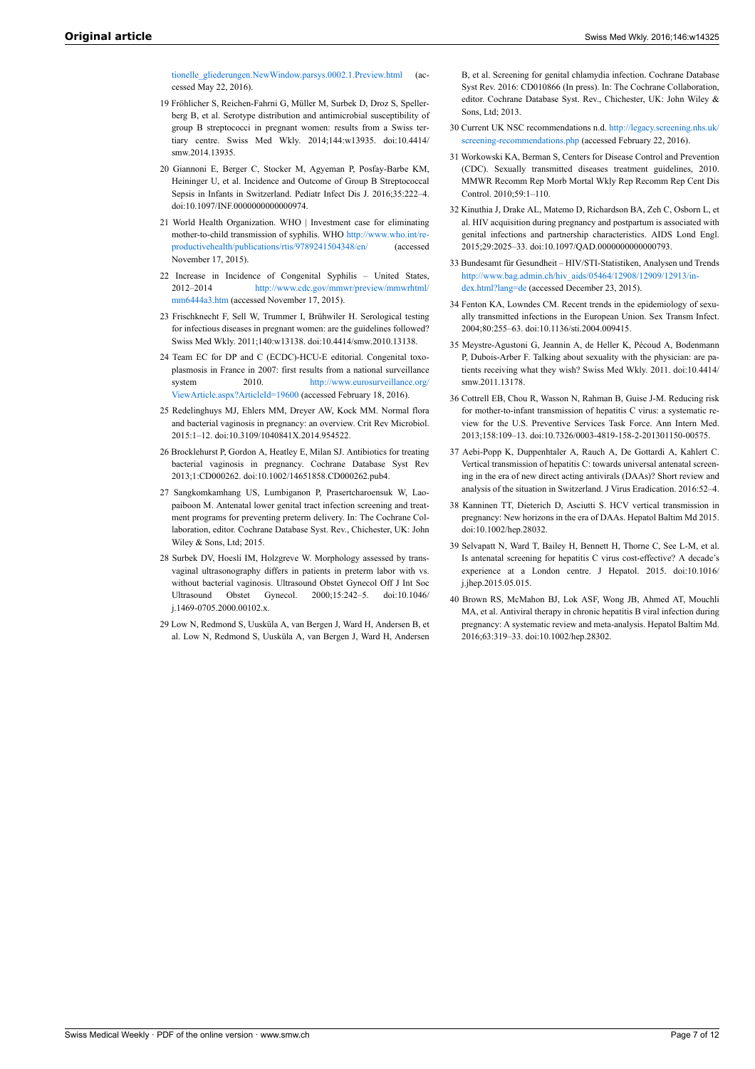[tionelle\\_gliederungen.NewWindow.parsys.0002.1.Preview.html](http://www.bfs.admin.ch/bfs/portal/en/index/regionen/thematische_karten/maps/raumgliederung/institutionelle_gliederungen.NewWindow.parsys.0002.1.Preview.html) (accessed May 22, 2016).

- <span id="page-6-11"></span><span id="page-6-0"></span>19 Fröhlicher S, Reichen-Fahrni G, Müller M, Surbek D, Droz S, Spellerberg B, et al. Serotype distribution and antimicrobial susceptibility of group B streptococci in pregnant women: results from a Swiss tertiary centre. Swiss Med Wkly. 2014;144:w13935. doi:10.4414/ smw.2014.13935.
- <span id="page-6-12"></span><span id="page-6-1"></span>20 Giannoni E, Berger C, Stocker M, Agyeman P, Posfay-Barbe KM, Heininger U, et al. Incidence and Outcome of Group B Streptococcal Sepsis in Infants in Switzerland. Pediatr Infect Dis J. 2016;35:222–4. doi:10.1097/INF.0000000000000974.
- <span id="page-6-13"></span><span id="page-6-2"></span>21 World Health Organization. WHO | Investment case for eliminating mother-to-child transmission of syphilis. WHO [http://www.who.int/re](http://www.who.int/reproductivehealth/publications/rtis/9789241504348/en/)[productivehealth/publications/rtis/9789241504348/en/](http://www.who.int/reproductivehealth/publications/rtis/9789241504348/en/) (accessed November 17, 2015).
- <span id="page-6-14"></span><span id="page-6-3"></span>22 Increase in Incidence of Congenital Syphilis – United States, 2012–2014 [http://www.cdc.gov/mmwr/preview/mmwrhtml/](http://www.cdc.gov/mmwr/preview/mmwrhtml/mm6444a3.htm) [mm6444a3.htm](http://www.cdc.gov/mmwr/preview/mmwrhtml/mm6444a3.htm) (accessed November 17, 2015).
- <span id="page-6-15"></span><span id="page-6-4"></span>23 Frischknecht F, Sell W, Trummer I, Brühwiler H. Serological testing for infectious diseases in pregnant women: are the guidelines followed? Swiss Med Wkly. 2011;140:w13138. doi:10.4414/smw.2010.13138.
- <span id="page-6-16"></span><span id="page-6-5"></span>24 Team EC for DP and C (ECDC)-HCU-E editorial. Congenital toxoplasmosis in France in 2007: first results from a national surveillance system 2010. [http://www.eurosurveillance.org/](http://www.eurosurveillance.org/ViewArticle.aspx?ArticleId=19600) [ViewArticle.aspx?ArticleId=19600](http://www.eurosurveillance.org/ViewArticle.aspx?ArticleId=19600) (accessed February 18, 2016).
- <span id="page-6-17"></span><span id="page-6-6"></span>25 Redelinghuys MJ, Ehlers MM, Dreyer AW, Kock MM. Normal flora and bacterial vaginosis in pregnancy: an overview. Crit Rev Microbiol. 2015:1–12. doi:10.3109/1040841X.2014.954522.
- <span id="page-6-7"></span>26 Brocklehurst P, Gordon A, Heatley E, Milan SJ. Antibiotics for treating bacterial vaginosis in pregnancy. Cochrane Database Syst Rev 2013;1:CD000262. doi:10.1002/14651858.CD000262.pub4.
- <span id="page-6-18"></span><span id="page-6-8"></span>27 Sangkomkamhang US, Lumbiganon P, Prasertcharoensuk W, Laopaiboon M. Antenatal lower genital tract infection screening and treatment programs for preventing preterm delivery. In: The Cochrane Collaboration, editor. Cochrane Database Syst. Rev., Chichester, UK: John Wiley & Sons, Ltd; 2015.
- <span id="page-6-19"></span><span id="page-6-9"></span>28 Surbek DV, Hoesli IM, Holzgreve W. Morphology assessed by transvaginal ultrasonography differs in patients in preterm labor with vs. without bacterial vaginosis. Ultrasound Obstet Gynecol Off J Int Soc Ultrasound Obstet Gynecol. 2000;15:242–5. doi:10.1046/ j.1469-0705.2000.00102.x.
- <span id="page-6-20"></span><span id="page-6-10"></span>29 Low N, Redmond S, Uusküla A, van Bergen J, Ward H, Andersen B, et al. Low N, Redmond S, Uusküla A, van Bergen J, Ward H, Andersen

B, et al. Screening for genital chlamydia infection. Cochrane Database Syst Rev. 2016: CD010866 (In press). In: The Cochrane Collaboration, editor. Cochrane Database Syst. Rev., Chichester, UK: John Wiley & Sons, Ltd; 2013.

- 30 Current UK NSC recommendations n.d. [http://legacy.screening.nhs.uk/](http://legacy.screening.nhs.uk/screening-recommendations.php) [screening-recommendations.php](http://legacy.screening.nhs.uk/screening-recommendations.php) (accessed February 22, 2016).
- 31 Workowski KA, Berman S, Centers for Disease Control and Prevention (CDC). Sexually transmitted diseases treatment guidelines, 2010. MMWR Recomm Rep Morb Mortal Wkly Rep Recomm Rep Cent Dis Control. 2010;59:1–110.
- 32 Kinuthia J, Drake AL, Matemo D, Richardson BA, Zeh C, Osborn L, et al. HIV acquisition during pregnancy and postpartum is associated with genital infections and partnership characteristics. AIDS Lond Engl. 2015;29:2025–33. doi:10.1097/QAD.0000000000000793.
- 33 Bundesamt für Gesundheit HIV/STI-Statistiken, Analysen und Trends [http://www.bag.admin.ch/hiv\\_aids/05464/12908/12909/12913/in](http://www.bag.admin.ch/hiv_aids/05464/12908/12909/12913/index.html?lang=de)[dex.html?lang=de](http://www.bag.admin.ch/hiv_aids/05464/12908/12909/12913/index.html?lang=de) (accessed December 23, 2015).
- 34 Fenton KA, Lowndes CM. Recent trends in the epidemiology of sexually transmitted infections in the European Union. Sex Transm Infect. 2004;80:255–63. doi:10.1136/sti.2004.009415.
- 35 Meystre-Agustoni G, Jeannin A, de Heller K, Pécoud A, Bodenmann P, Dubois-Arber F. Talking about sexuality with the physician: are patients receiving what they wish? Swiss Med Wkly. 2011. doi:10.4414/ smw.2011.13178.
- 36 Cottrell EB, Chou R, Wasson N, Rahman B, Guise J-M. Reducing risk for mother-to-infant transmission of hepatitis C virus: a systematic review for the U.S. Preventive Services Task Force. Ann Intern Med. 2013;158:109–13. doi:10.7326/0003-4819-158-2-201301150-00575.
- 37 Aebi-Popp K, Duppenhtaler A, Rauch A, De Gottardi A, Kahlert C. Vertical transmission of hepatitis C: towards universal antenatal screening in the era of new direct acting antivirals (DAAs)? Short review and analysis of the situation in Switzerland. J Virus Eradication. 2016:52–4.
- 38 Kanninen TT, Dieterich D, Asciutti S. HCV vertical transmission in pregnancy: New horizons in the era of DAAs. Hepatol Baltim Md 2015. doi:10.1002/hep.28032.
- 39 Selvapatt N, Ward T, Bailey H, Bennett H, Thorne C, See L-M, et al. Is antenatal screening for hepatitis C virus cost-effective? A decade's experience at a London centre. J Hepatol. 2015. doi:10.1016/ j.jhep.2015.05.015.
- 40 Brown RS, McMahon BJ, Lok ASF, Wong JB, Ahmed AT, Mouchli MA, et al. Antiviral therapy in chronic hepatitis B viral infection during pregnancy: A systematic review and meta-analysis. Hepatol Baltim Md. 2016;63:319–33. doi:10.1002/hep.28302.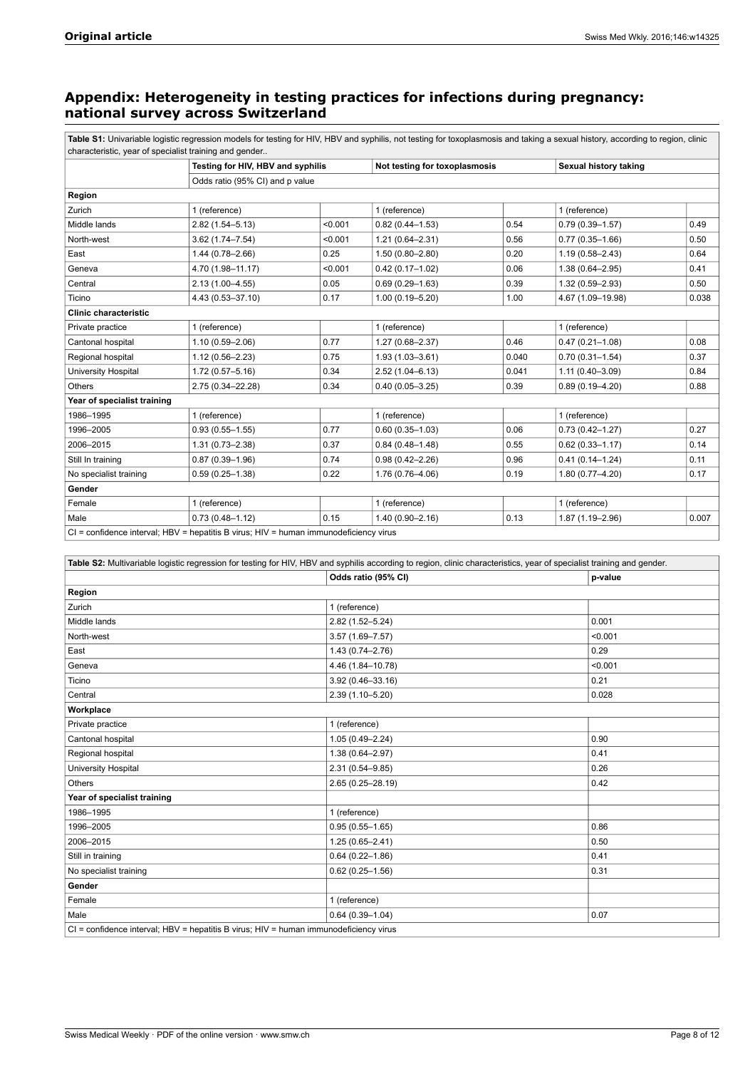# **Appendix: Heterogeneity in testing practices for infections during pregnancy: national survey across Switzerland**

Table S1: Univariable logistic regression models for testing for HIV, HBV and syphilis, not testing for toxoplasmosis and taking a sexual history, according to region, clinic characteristic, year of specialist training and gender..

|                              | Testing for HIV, HBV and syphilis                                                       |         | Not testing for toxoplasmosis |       | Sexual history taking |       |
|------------------------------|-----------------------------------------------------------------------------------------|---------|-------------------------------|-------|-----------------------|-------|
|                              | Odds ratio (95% CI) and p value                                                         |         |                               |       |                       |       |
| Region                       |                                                                                         |         |                               |       |                       |       |
| Zurich                       | 1 (reference)                                                                           |         | 1 (reference)                 |       | 1 (reference)         |       |
| Middle lands                 | $2.82(1.54 - 5.13)$                                                                     | < 0.001 | $0.82(0.44 - 1.53)$           | 0.54  | $0.79(0.39 - 1.57)$   | 0.49  |
| North-west                   | $3.62(1.74 - 7.54)$                                                                     | < 0.001 | $1.21(0.64 - 2.31)$           | 0.56  | $0.77(0.35 - 1.66)$   | 0.50  |
| East                         | $1.44(0.78 - 2.66)$                                                                     | 0.25    | $1.50(0.80 - 2.80)$           | 0.20  | $1.19(0.58 - 2.43)$   | 0.64  |
| Geneva                       | 4.70 (1.98-11.17)                                                                       | < 0.001 | $0.42(0.17 - 1.02)$           | 0.06  | $1.38(0.64 - 2.95)$   | 0.41  |
| Central                      | $2.13(1.00 - 4.55)$                                                                     | 0.05    | $0.69(0.29 - 1.63)$           | 0.39  | $1.32(0.59 - 2.93)$   | 0.50  |
| Ticino                       | 4.43 (0.53-37.10)                                                                       | 0.17    | $1.00(0.19 - 5.20)$           | 1.00  | 4.67 (1.09-19.98)     | 0.038 |
| <b>Clinic characteristic</b> |                                                                                         |         |                               |       |                       |       |
| Private practice             | 1 (reference)                                                                           |         | 1 (reference)                 |       | 1 (reference)         |       |
| Cantonal hospital            | $1.10(0.59 - 2.06)$                                                                     | 0.77    | $1.27(0.68 - 2.37)$           | 0.46  | $0.47(0.21 - 1.08)$   | 0.08  |
| Regional hospital            | $1.12(0.56 - 2.23)$                                                                     | 0.75    | $1.93(1.03 - 3.61)$           | 0.040 | $0.70(0.31 - 1.54)$   | 0.37  |
| University Hospital          | $1.72(0.57 - 5.16)$                                                                     | 0.34    | $2.52(1.04 - 6.13)$           | 0.041 | $1.11(0.40 - 3.09)$   | 0.84  |
| Others                       | 2.75 (0.34-22.28)                                                                       | 0.34    | $0.40(0.05 - 3.25)$           | 0.39  | $0.89(0.19 - 4.20)$   | 0.88  |
| Year of specialist training  |                                                                                         |         |                               |       |                       |       |
| 1986-1995                    | 1 (reference)                                                                           |         | 1 (reference)                 |       | 1 (reference)         |       |
| 1996-2005                    | $0.93(0.55 - 1.55)$                                                                     | 0.77    | $0.60(0.35 - 1.03)$           | 0.06  | $0.73(0.42 - 1.27)$   | 0.27  |
| 2006-2015                    | $1.31(0.73 - 2.38)$                                                                     | 0.37    | $0.84(0.48 - 1.48)$           | 0.55  | $0.62(0.33 - 1.17)$   | 0.14  |
| Still In training            | $0.87(0.39 - 1.96)$                                                                     | 0.74    | $0.98(0.42 - 2.26)$           | 0.96  | $0.41(0.14 - 1.24)$   | 0.11  |
| No specialist training       | $0.59(0.25 - 1.38)$                                                                     | 0.22    | 1.76 (0.76-4.06)              | 0.19  | $1.80(0.77 - 4.20)$   | 0.17  |
| Gender                       |                                                                                         |         |                               |       |                       |       |
| Female                       | 1 (reference)                                                                           |         | 1 (reference)                 |       | 1 (reference)         |       |
| Male                         | $0.73(0.48 - 1.12)$                                                                     | 0.15    | $1.40(0.90 - 2.16)$           | 0.13  | $1.87(1.19 - 2.96)$   | 0.007 |
|                              | $CI = confidence$ interval; HBV = hepatitis B virus; HIV = human immunodeficiency virus |         |                               |       |                       |       |

| Table S2: Multivariable logistic regression for testing for HIV, HBV and syphilis according to region, clinic characteristics, year of specialist training and gender. |                      |         |  |  |  |
|------------------------------------------------------------------------------------------------------------------------------------------------------------------------|----------------------|---------|--|--|--|
|                                                                                                                                                                        | Odds ratio (95% CI)  | p-value |  |  |  |
| Region                                                                                                                                                                 |                      |         |  |  |  |
| Zurich                                                                                                                                                                 | 1 (reference)        |         |  |  |  |
| Middle lands                                                                                                                                                           | 2.82 (1.52-5.24)     | 0.001   |  |  |  |
| North-west                                                                                                                                                             | $3.57(1.69 - 7.57)$  | < 0.001 |  |  |  |
| East                                                                                                                                                                   | $1.43(0.74 - 2.76)$  | 0.29    |  |  |  |
| Geneva                                                                                                                                                                 | 4.46 (1.84-10.78)    | < 0.001 |  |  |  |
| Ticino                                                                                                                                                                 | $3.92(0.46 - 33.16)$ | 0.21    |  |  |  |
| Central                                                                                                                                                                | 2.39 (1.10-5.20)     | 0.028   |  |  |  |
| Workplace                                                                                                                                                              |                      |         |  |  |  |
| Private practice                                                                                                                                                       | 1 (reference)        |         |  |  |  |
| Cantonal hospital                                                                                                                                                      | $1.05(0.49 - 2.24)$  | 0.90    |  |  |  |
| Regional hospital                                                                                                                                                      | 1.38 (0.64-2.97)     | 0.41    |  |  |  |
| University Hospital                                                                                                                                                    | 2.31 (0.54-9.85)     | 0.26    |  |  |  |
| Others                                                                                                                                                                 | 2.65 (0.25-28.19)    | 0.42    |  |  |  |
| Year of specialist training                                                                                                                                            |                      |         |  |  |  |
| 1986-1995                                                                                                                                                              | 1 (reference)        |         |  |  |  |
| 1996-2005                                                                                                                                                              | $0.95(0.55 - 1.65)$  | 0.86    |  |  |  |
| 2006-2015                                                                                                                                                              | $1.25(0.65 - 2.41)$  | 0.50    |  |  |  |
| Still in training                                                                                                                                                      | $0.64(0.22 - 1.86)$  | 0.41    |  |  |  |
| No specialist training                                                                                                                                                 | $0.62(0.25 - 1.56)$  | 0.31    |  |  |  |
| Gender                                                                                                                                                                 |                      |         |  |  |  |
| Female                                                                                                                                                                 | 1 (reference)        |         |  |  |  |
| Male                                                                                                                                                                   | $0.64(0.39 - 1.04)$  | 0.07    |  |  |  |
| $Cl =$ confidence interval; HBV = hepatitis B virus; HIV = human immunodeficiency virus                                                                                |                      |         |  |  |  |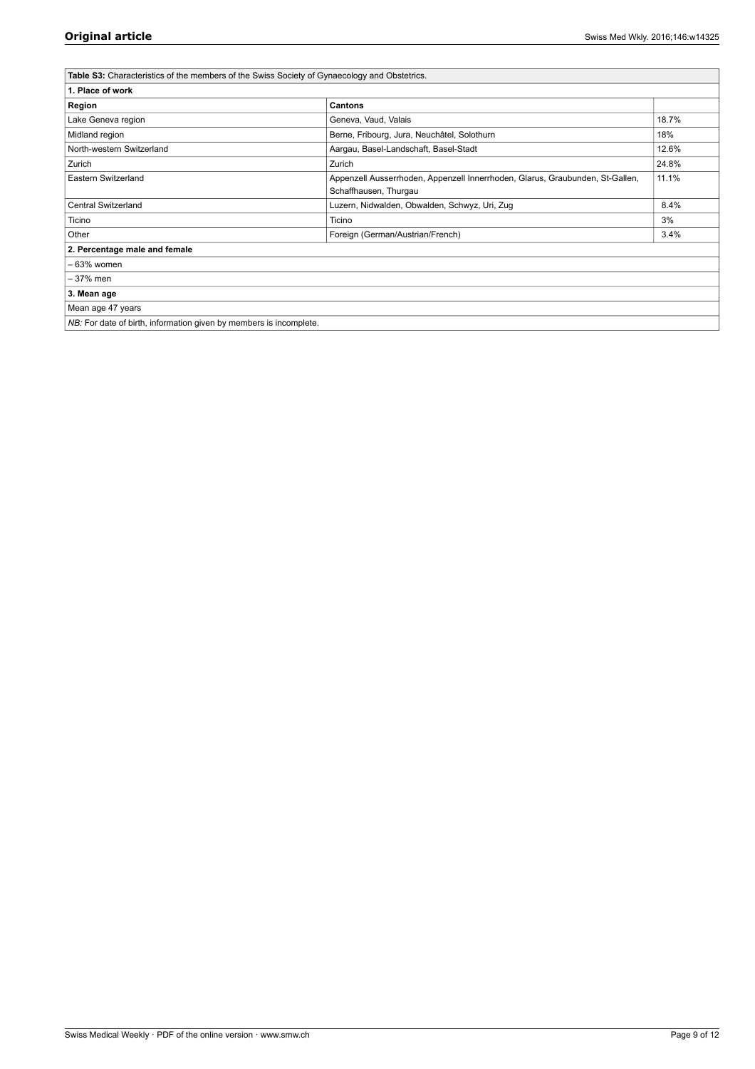| Table S3: Characteristics of the members of the Swiss Society of Gynaecology and Obstetrics. |                                                                                                        |       |
|----------------------------------------------------------------------------------------------|--------------------------------------------------------------------------------------------------------|-------|
| 1. Place of work                                                                             |                                                                                                        |       |
| Region                                                                                       | <b>Cantons</b>                                                                                         |       |
| Lake Geneva region                                                                           | Geneva, Vaud, Valais                                                                                   | 18.7% |
| Midland region                                                                               | Berne, Fribourg, Jura, Neuchâtel, Solothurn                                                            | 18%   |
| North-western Switzerland                                                                    | Aargau, Basel-Landschaft, Basel-Stadt                                                                  | 12.6% |
| Zurich                                                                                       | Zurich                                                                                                 | 24.8% |
| Eastern Switzerland                                                                          | Appenzell Ausserrhoden, Appenzell Innerrhoden, Glarus, Graubunden, St-Gallen,<br>Schaffhausen, Thurgau | 11.1% |
| <b>Central Switzerland</b>                                                                   | Luzern, Nidwalden, Obwalden, Schwyz, Uri, Zug                                                          | 8.4%  |
| Ticino                                                                                       | Ticino                                                                                                 | 3%    |
| Other                                                                                        | Foreign (German/Austrian/French)                                                                       | 3.4%  |
| 2. Percentage male and female                                                                |                                                                                                        |       |
| $-63%$ women                                                                                 |                                                                                                        |       |
| – 37% men                                                                                    |                                                                                                        |       |
| 3. Mean age                                                                                  |                                                                                                        |       |
| Mean age 47 years                                                                            |                                                                                                        |       |
| NB: For date of birth, information given by members is incomplete.                           |                                                                                                        |       |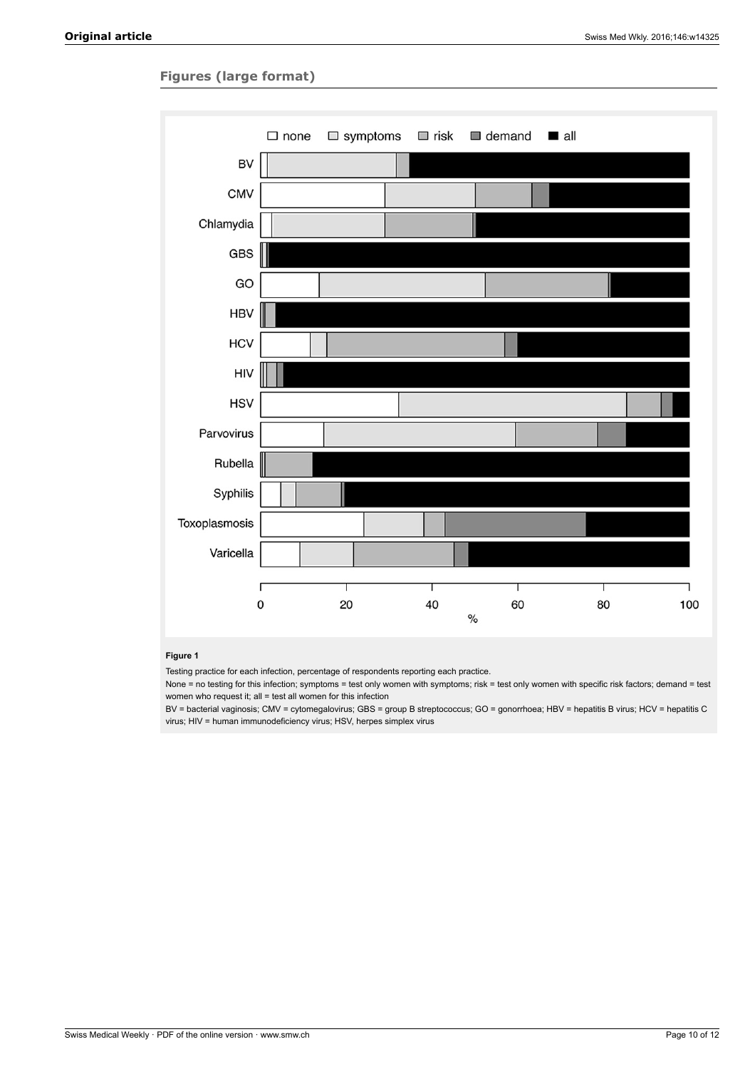# **Figures (large format)**



#### **Figure 1**

Testing practice for each infection, percentage of respondents reporting each practice.

None = no testing for this infection; symptoms = test only women with symptoms; risk = test only women with specific risk factors; demand = test women who request it; all = test all women for this infection

BV = bacterial vaginosis; CMV = cytomegalovirus; GBS = group B streptococcus; GO = gonorrhoea; HBV = hepatitis B virus; HCV = hepatitis C virus; HIV = human immunodeficiency virus; HSV, herpes simplex virus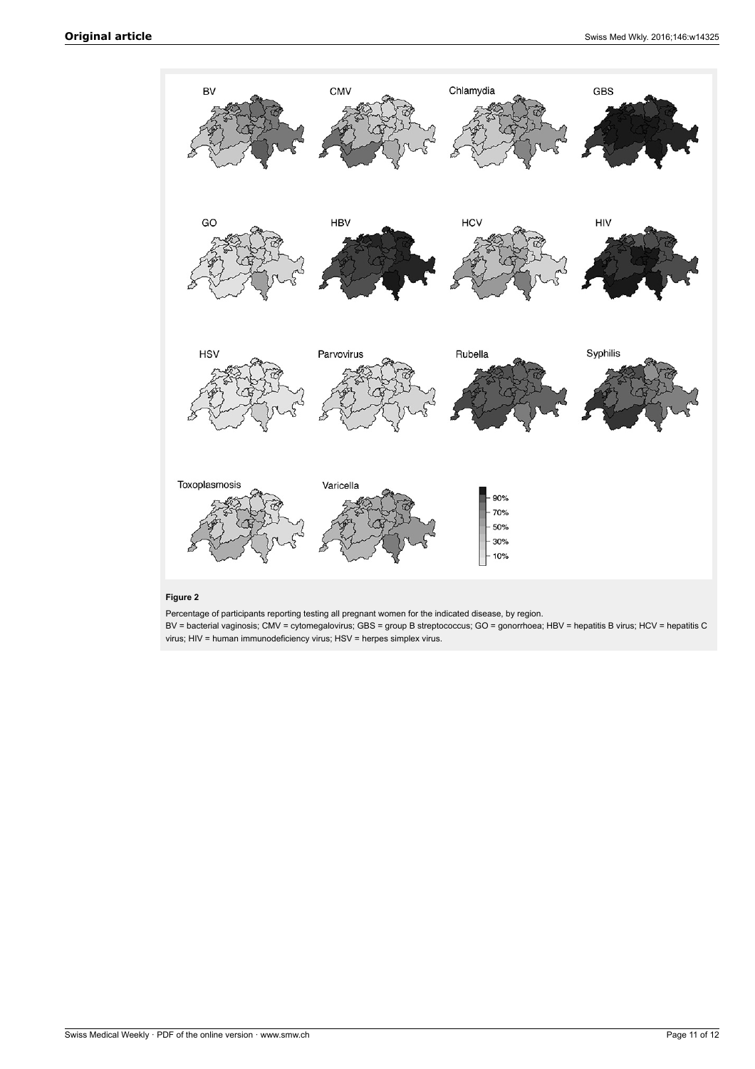

#### **Figure 2**

Percentage of participants reporting testing all pregnant women for the indicated disease, by region.

BV = bacterial vaginosis; CMV = cytomegalovirus; GBS = group B streptococcus; GO = gonorrhoea; HBV = hepatitis B virus; HCV = hepatitis C virus; HIV = human immunodeficiency virus; HSV = herpes simplex virus.